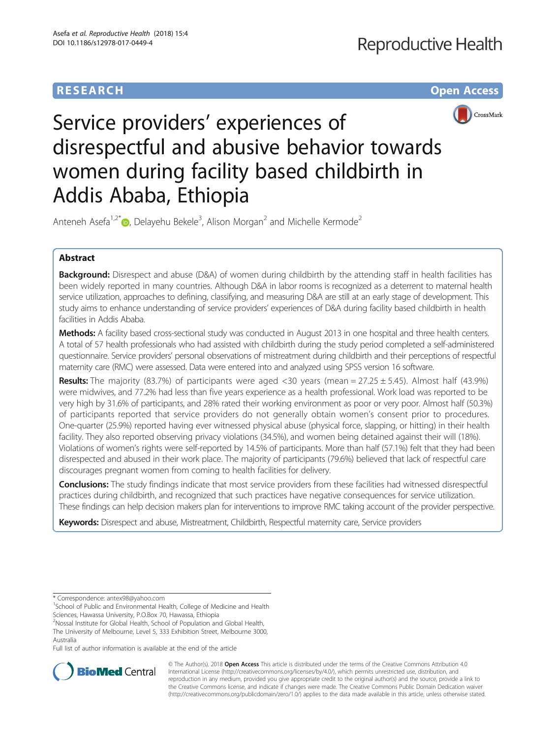# **RESEARCH CHE Open Access**



# Service providers' experiences of disrespectful and abusive behavior towards women during facility based childbirth in Addis Ababa, Ethiopia

Anteneh Asefa<sup>1[,](http://orcid.org/0000-0003-4470-1848)2\*</sup> $\textsf{\textcircled{\tiny{-}}}$  Delayehu Bekele<sup>3</sup>, Alison Morgan<sup>2</sup> and Michelle Kermode<sup>2</sup>

# Abstract

Background: Disrespect and abuse (D&A) of women during childbirth by the attending staff in health facilities has been widely reported in many countries. Although D&A in labor rooms is recognized as a deterrent to maternal health service utilization, approaches to defining, classifying, and measuring D&A are still at an early stage of development. This study aims to enhance understanding of service providers' experiences of D&A during facility based childbirth in health facilities in Addis Ababa.

Methods: A facility based cross-sectional study was conducted in August 2013 in one hospital and three health centers. A total of 57 health professionals who had assisted with childbirth during the study period completed a self-administered questionnaire. Service providers' personal observations of mistreatment during childbirth and their perceptions of respectful maternity care (RMC) were assessed. Data were entered into and analyzed using SPSS version 16 software.

Results: The majority (83.7%) of participants were aged <30 years (mean = 27.25 ± 5.45). Almost half (43.9%) were midwives, and 77.2% had less than five years experience as a health professional. Work load was reported to be very high by 31.6% of participants, and 28% rated their working environment as poor or very poor. Almost half (50.3%) of participants reported that service providers do not generally obtain women's consent prior to procedures. One-quarter (25.9%) reported having ever witnessed physical abuse (physical force, slapping, or hitting) in their health facility. They also reported observing privacy violations (34.5%), and women being detained against their will (18%). Violations of women's rights were self-reported by 14.5% of participants. More than half (57.1%) felt that they had been disrespected and abused in their work place. The majority of participants (79.6%) believed that lack of respectful care discourages pregnant women from coming to health facilities for delivery.

Conclusions: The study findings indicate that most service providers from these facilities had witnessed disrespectful practices during childbirth, and recognized that such practices have negative consequences for service utilization. These findings can help decision makers plan for interventions to improve RMC taking account of the provider perspective.

Keywords: Disrespect and abuse, Mistreatment, Childbirth, Respectful maternity care, Service providers

\* Correspondence: [antex98@yahoo.com](mailto:antex98@yahoo.com) <sup>1</sup>

<sup>1</sup>School of Public and Environmental Health, College of Medicine and Health Sciences, Hawassa University, P.O.Box 70, Hawassa, Ethiopia

<sup>2</sup>Nossal Institute for Global Health, School of Population and Global Health,

The University of Melbourne, Level 5, 333 Exhibition Street, Melbourne 3000, Australia

Full list of author information is available at the end of the article



© The Author(s). 2018 Open Access This article is distributed under the terms of the Creative Commons Attribution 4.0 International License [\(http://creativecommons.org/licenses/by/4.0/](http://creativecommons.org/licenses/by/4.0/)), which permits unrestricted use, distribution, and reproduction in any medium, provided you give appropriate credit to the original author(s) and the source, provide a link to the Creative Commons license, and indicate if changes were made. The Creative Commons Public Domain Dedication waiver [\(http://creativecommons.org/publicdomain/zero/1.0/](http://creativecommons.org/publicdomain/zero/1.0/)) applies to the data made available in this article, unless otherwise stated.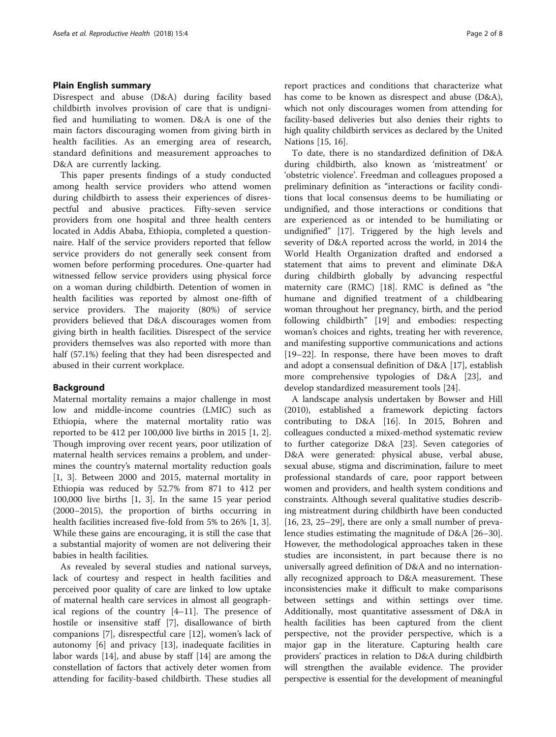# Plain English summary

Disrespect and abuse (D&A) during facility based childbirth involves provision of care that is undignified and humiliating to women. D&A is one of the main factors discouraging women from giving birth in health facilities. As an emerging area of research, standard definitions and measurement approaches to D&A are currently lacking.

This paper presents findings of a study conducted among health service providers who attend women during childbirth to assess their experiences of disrespectful and abusive practices. Fifty-seven service providers from one hospital and three health centers located in Addis Ababa, Ethiopia, completed a questionnaire. Half of the service providers reported that fellow service providers do not generally seek consent from women before performing procedures. One-quarter had witnessed fellow service providers using physical force on a woman during childbirth. Detention of women in health facilities was reported by almost one-fifth of service providers. The majority (80%) of service providers believed that D&A discourages women from giving birth in health facilities. Disrespect of the service providers themselves was also reported with more than half (57.1%) feeling that they had been disrespected and abused in their current workplace.

# Background

Maternal mortality remains a major challenge in most low and middle-income countries (LMIC) such as Ethiopia, where the maternal mortality ratio was reported to be 412 per 100,000 live births in 2015 [[1, 2](#page-6-0)]. Though improving over recent years, poor utilization of maternal health services remains a problem, and undermines the country's maternal mortality reduction goals [[1, 3\]](#page-6-0). Between 2000 and 2015, maternal mortality in Ethiopia was reduced by 52.7% from 871 to 412 per 100,000 live births [[1, 3\]](#page-6-0). In the same 15 year period (2000–2015), the proportion of births occurring in health facilities increased five-fold from 5% to 26% [\[1](#page-6-0), [3](#page-6-0)]. While these gains are encouraging, it is still the case that a substantial majority of women are not delivering their babies in health facilities.

As revealed by several studies and national surveys, lack of courtesy and respect in health facilities and perceived poor quality of care are linked to low uptake of maternal health care services in almost all geographical regions of the country [\[4](#page-6-0)–[11](#page-6-0)]. The presence of hostile or insensitive staff [\[7](#page-6-0)], disallowance of birth companions [\[7\]](#page-6-0), disrespectful care [\[12](#page-6-0)], women's lack of autonomy [[6\]](#page-6-0) and privacy [\[13](#page-6-0)], inadequate facilities in labor wards [\[14\]](#page-6-0), and abuse by staff [\[14](#page-6-0)] are among the constellation of factors that actively deter women from attending for facility-based childbirth. These studies all

report practices and conditions that characterize what has come to be known as disrespect and abuse (D&A), which not only discourages women from attending for facility-based deliveries but also denies their rights to high quality childbirth services as declared by the United Nations [[15, 16](#page-6-0)].

To date, there is no standardized definition of D&A during childbirth, also known as 'mistreatment' or 'obstetric violence'. Freedman and colleagues proposed a preliminary definition as "interactions or facility conditions that local consensus deems to be humiliating or undignified, and those interactions or conditions that are experienced as or intended to be humiliating or undignified" [[17](#page-6-0)]. Triggered by the high levels and severity of D&A reported across the world, in 2014 the World Health Organization drafted and endorsed a statement that aims to prevent and eliminate D&A during childbirth globally by advancing respectful maternity care (RMC) [\[18](#page-6-0)]. RMC is defined as "the humane and dignified treatment of a childbearing woman throughout her pregnancy, birth, and the period following childbirth" [[19](#page-6-0)] and embodies: respecting woman's choices and rights, treating her with reverence, and manifesting supportive communications and actions [[19](#page-6-0)–[22](#page-7-0)]. In response, there have been moves to draft and adopt a consensual definition of D&A [\[17](#page-6-0)], establish more comprehensive typologies of D&A [\[23](#page-7-0)], and develop standardized measurement tools [\[24\]](#page-7-0).

A landscape analysis undertaken by Bowser and Hill (2010), established a framework depicting factors contributing to D&A [[16\]](#page-6-0). In 2015, Bohren and colleagues conducted a mixed-method systematic review to further categorize D&A [\[23\]](#page-7-0). Seven categories of D&A were generated: physical abuse, verbal abuse, sexual abuse, stigma and discrimination, failure to meet professional standards of care, poor rapport between women and providers, and health system conditions and constraints. Although several qualitative studies describing mistreatment during childbirth have been conducted [[16,](#page-6-0) [23, 25](#page-7-0)–[29\]](#page-7-0), there are only a small number of prevalence studies estimating the magnitude of D&A [[26](#page-7-0)–[30](#page-7-0)]. However, the methodological approaches taken in these studies are inconsistent, in part because there is no universally agreed definition of D&A and no internationally recognized approach to D&A measurement. These inconsistencies make it difficult to make comparisons between settings and within settings over time. Additionally, most quantitative assessment of D&A in health facilities has been captured from the client perspective, not the provider perspective, which is a major gap in the literature. Capturing health care providers' practices in relation to D&A during childbirth will strengthen the available evidence. The provider perspective is essential for the development of meaningful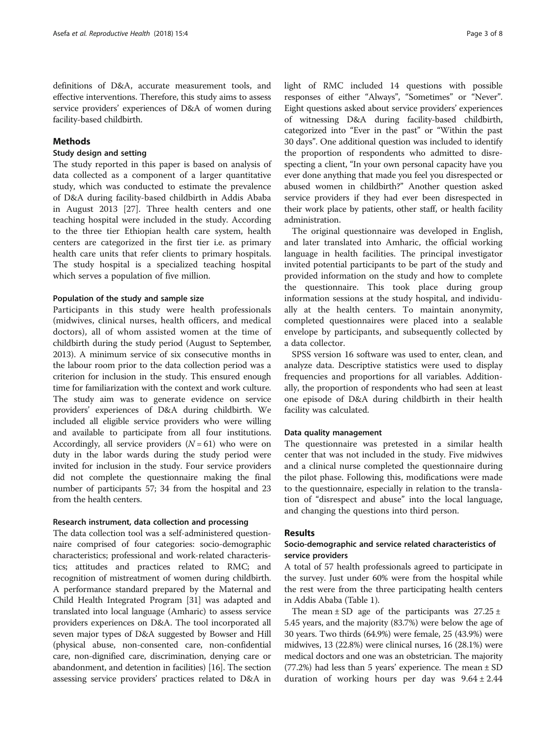definitions of D&A, accurate measurement tools, and effective interventions. Therefore, this study aims to assess service providers' experiences of D&A of women during facility-based childbirth.

# Methods

# Study design and setting

The study reported in this paper is based on analysis of data collected as a component of a larger quantitative study, which was conducted to estimate the prevalence of D&A during facility-based childbirth in Addis Ababa in August 2013 [\[27](#page-7-0)]. Three health centers and one teaching hospital were included in the study. According to the three tier Ethiopian health care system, health centers are categorized in the first tier i.e. as primary health care units that refer clients to primary hospitals. The study hospital is a specialized teaching hospital which serves a population of five million.

#### Population of the study and sample size

Participants in this study were health professionals (midwives, clinical nurses, health officers, and medical doctors), all of whom assisted women at the time of childbirth during the study period (August to September, 2013). A minimum service of six consecutive months in the labour room prior to the data collection period was a criterion for inclusion in the study. This ensured enough time for familiarization with the context and work culture. The study aim was to generate evidence on service providers' experiences of D&A during childbirth. We included all eligible service providers who were willing and available to participate from all four institutions. Accordingly, all service providers  $(N = 61)$  who were on duty in the labor wards during the study period were invited for inclusion in the study. Four service providers did not complete the questionnaire making the final number of participants 57; 34 from the hospital and 23 from the health centers.

#### Research instrument, data collection and processing

The data collection tool was a self-administered questionnaire comprised of four categories: socio-demographic characteristics; professional and work-related characteristics; attitudes and practices related to RMC; and recognition of mistreatment of women during childbirth. A performance standard prepared by the Maternal and Child Health Integrated Program [[31](#page-7-0)] was adapted and translated into local language (Amharic) to assess service providers experiences on D&A. The tool incorporated all seven major types of D&A suggested by Bowser and Hill (physical abuse, non-consented care, non-confidential care, non-dignified care, discrimination, denying care or abandonment, and detention in facilities) [\[16\]](#page-6-0). The section assessing service providers' practices related to D&A in light of RMC included 14 questions with possible responses of either "Always", "Sometimes" or "Never". Eight questions asked about service providers' experiences of witnessing D&A during facility-based childbirth, categorized into "Ever in the past" or "Within the past 30 days". One additional question was included to identify the proportion of respondents who admitted to disrespecting a client, "In your own personal capacity have you ever done anything that made you feel you disrespected or abused women in childbirth?" Another question asked service providers if they had ever been disrespected in their work place by patients, other staff, or health facility administration.

The original questionnaire was developed in English, and later translated into Amharic, the official working language in health facilities. The principal investigator invited potential participants to be part of the study and provided information on the study and how to complete the questionnaire. This took place during group information sessions at the study hospital, and individually at the health centers. To maintain anonymity, completed questionnaires were placed into a sealable envelope by participants, and subsequently collected by a data collector.

SPSS version 16 software was used to enter, clean, and analyze data. Descriptive statistics were used to display frequencies and proportions for all variables. Additionally, the proportion of respondents who had seen at least one episode of D&A during childbirth in their health facility was calculated.

### Data quality management

The questionnaire was pretested in a similar health center that was not included in the study. Five midwives and a clinical nurse completed the questionnaire during the pilot phase. Following this, modifications were made to the questionnaire, especially in relation to the translation of "disrespect and abuse" into the local language, and changing the questions into third person.

# Results

# Socio-demographic and service related characteristics of service providers

A total of 57 health professionals agreed to participate in the survey. Just under 60% were from the hospital while the rest were from the three participating health centers in Addis Ababa (Table [1\)](#page-3-0).

The mean  $\pm$  SD age of the participants was 27.25  $\pm$ 5.45 years, and the majority (83.7%) were below the age of 30 years. Two thirds (64.9%) were female, 25 (43.9%) were midwives, 13 (22.8%) were clinical nurses, 16 (28.1%) were medical doctors and one was an obstetrician. The majority  $(77.2%)$  had less than 5 years' experience. The mean  $\pm$  SD duration of working hours per day was  $9.64 \pm 2.44$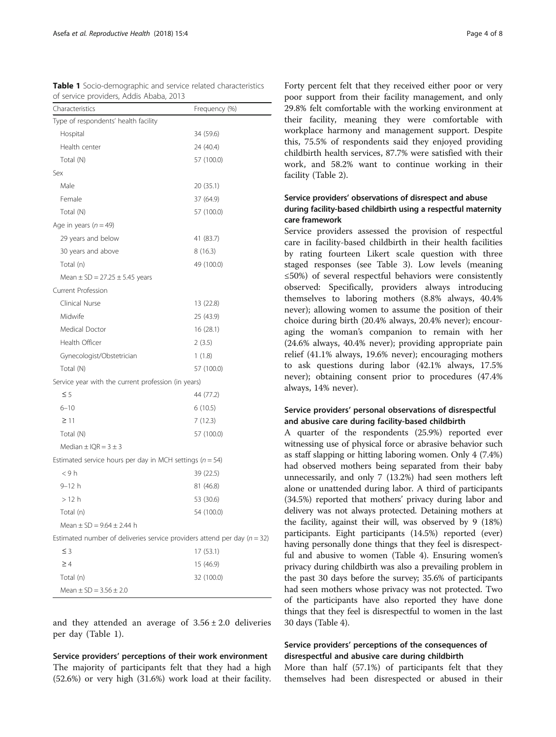| Characteristics                                                              | Frequency (%) |
|------------------------------------------------------------------------------|---------------|
| Type of respondents' health facility                                         |               |
| Hospital                                                                     | 34 (59.6)     |
| Health center                                                                | 24 (40.4)     |
| Total (N)                                                                    | 57 (100.0)    |
| Sex                                                                          |               |
| Male                                                                         | 20 (35.1)     |
| Female                                                                       | 37 (64.9)     |
| Total (N)                                                                    | 57 (100.0)    |
| Age in years $(n = 49)$                                                      |               |
| 29 years and below                                                           | 41 (83.7)     |
| 30 years and above                                                           | 8(16.3)       |
| Total (n)                                                                    | 49 (100.0)    |
| Mean $\pm$ SD = 27.25 $\pm$ 5.45 years                                       |               |
| Current Profession                                                           |               |
| Clinical Nurse                                                               | 13 (22.8)     |
| Midwife                                                                      | 25 (43.9)     |
| Medical Doctor                                                               | 16(28.1)      |
| Health Officer                                                               | 2(3.5)        |
| Gynecologist/Obstetrician                                                    | 1(1.8)        |
| Total (N)                                                                    | 57 (100.0)    |
| Service year with the current profession (in years)                          |               |
| $\leq$ 5                                                                     | 44 (77.2)     |
| $6 - 10$                                                                     | 6(10.5)       |
| $\geq$ 11                                                                    | 7(12.3)       |
| Total (N)                                                                    | 57 (100.0)    |
| Median $\pm$ IQR = 3 $\pm$ 3                                                 |               |
| Estimated service hours per day in MCH settings ( $n = 54$ )                 |               |
| <9h                                                                          | 39 (22.5)     |
| 9–12 h                                                                       | 81 (46.8)     |
| > 12 h                                                                       | 53 (30.6)     |
| Total (n)                                                                    | 54 (100.0)    |
| Mean $\pm$ SD = 9.64 $\pm$ 2.44 h                                            |               |
| Estimated number of deliveries service providers attend per day ( $n = 32$ ) |               |
| $\leq$ 3                                                                     | 17(53.1)      |
| $\geq 4$                                                                     | 15 (46.9)     |
| Total (n)                                                                    | 32 (100.0)    |
| Mean $\pm$ SD = 3.56 $\pm$ 2.0                                               |               |

<span id="page-3-0"></span>Table 1 Socio-demographic and service related characteristics of service providers, Addis Ababa, 2013

and they attended an average of  $3.56 \pm 2.0$  deliveries per day (Table 1).

Service providers' perceptions of their work environment The majority of participants felt that they had a high (52.6%) or very high (31.6%) work load at their facility.

Forty percent felt that they received either poor or very poor support from their facility management, and only 29.8% felt comfortable with the working environment at their facility, meaning they were comfortable with workplace harmony and management support. Despite this, 75.5% of respondents said they enjoyed providing childbirth health services, 87.7% were satisfied with their work, and 58.2% want to continue working in their facility (Table [2\)](#page-4-0).

# Service providers' observations of disrespect and abuse during facility-based childbirth using a respectful maternity care framework

Service providers assessed the provision of respectful care in facility-based childbirth in their health facilities by rating fourteen Likert scale question with three staged responses (see Table [3\)](#page-4-0). Low levels (meaning ≤50%) of several respectful behaviors were consistently observed: Specifically, providers always introducing themselves to laboring mothers (8.8% always, 40.4% never); allowing women to assume the position of their choice during birth (20.4% always, 20.4% never); encouraging the woman's companion to remain with her (24.6% always, 40.4% never); providing appropriate pain relief (41.1% always, 19.6% never); encouraging mothers to ask questions during labor (42.1% always, 17.5% never); obtaining consent prior to procedures (47.4% always, 14% never).

# Service providers' personal observations of disrespectful and abusive care during facility-based childbirth

A quarter of the respondents (25.9%) reported ever witnessing use of physical force or abrasive behavior such as staff slapping or hitting laboring women. Only 4 (7.4%) had observed mothers being separated from their baby unnecessarily, and only 7 (13.2%) had seen mothers left alone or unattended during labor. A third of participants (34.5%) reported that mothers' privacy during labor and delivery was not always protected. Detaining mothers at the facility, against their will, was observed by 9 (18%) participants. Eight participants (14.5%) reported (ever) having personally done things that they feel is disrespectful and abusive to women (Table [4](#page-5-0)). Ensuring women's privacy during childbirth was also a prevailing problem in the past 30 days before the survey; 35.6% of participants had seen mothers whose privacy was not protected. Two of the participants have also reported they have done things that they feel is disrespectful to women in the last 30 days (Table [4](#page-5-0)).

# Service providers' perceptions of the consequences of disrespectful and abusive care during childbirth

More than half (57.1%) of participants felt that they themselves had been disrespected or abused in their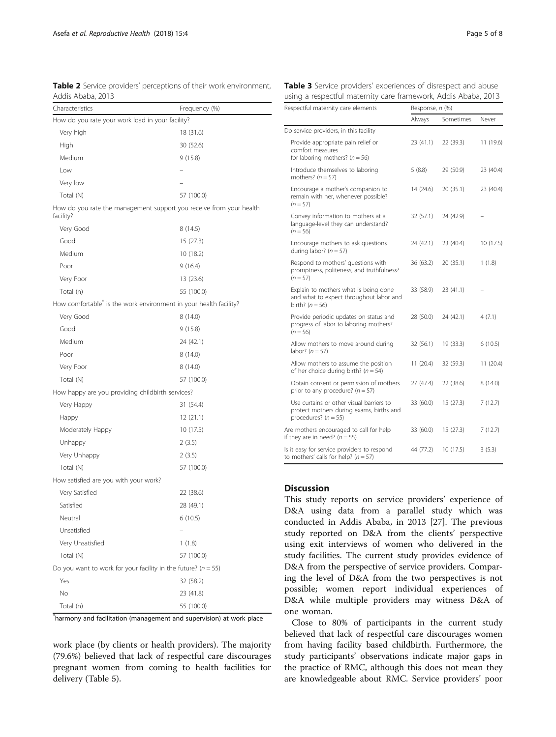<span id="page-4-0"></span>

| Table 2 Service providers' perceptions of their work environment, |  |  |  |
|-------------------------------------------------------------------|--|--|--|
| Addis Ababa, 2013                                                 |  |  |  |

| Characteristics                                                                  | Frequency (%) |  |
|----------------------------------------------------------------------------------|---------------|--|
| How do you rate your work load in your facility?                                 |               |  |
| Very high                                                                        | 18 (31.6)     |  |
| High                                                                             | 30 (52.6)     |  |
| Medium                                                                           | 9(15.8)       |  |
| Low                                                                              |               |  |
| Very low                                                                         |               |  |
| Total (N)                                                                        | 57 (100.0)    |  |
| How do you rate the management support you receive from your health<br>facility? |               |  |
| Very Good                                                                        | 8 (14.5)      |  |
| Good                                                                             | 15 (27.3)     |  |
| Medium                                                                           | 10 (18.2)     |  |
| Poor                                                                             | 9 (16.4)      |  |
| Very Poor                                                                        | 13 (23.6)     |  |
| Total (n)                                                                        | 55 (100.0)    |  |
| How comfortable <sup>®</sup> is the work environment in your health facility?    |               |  |
| Very Good                                                                        | 8 (14.0)      |  |
| Good                                                                             | 9(15.8)       |  |
| Medium                                                                           | 24 (42.1)     |  |
| Poor                                                                             | 8(14.0)       |  |
| Very Poor                                                                        | 8 (14.0)      |  |
| Total (N)                                                                        | 57 (100.0)    |  |
| How happy are you providing childbirth services?                                 |               |  |
| Very Happy                                                                       | 31 (54.4)     |  |
| Happy                                                                            | 12 (21.1)     |  |
| Moderately Happy                                                                 | 10 (17.5)     |  |
| Unhappy                                                                          | 2(3.5)        |  |
| Very Unhappy                                                                     | 2(3.5)        |  |
| Total (N)                                                                        | 57 (100.0)    |  |
| How satisfied are you with your work?                                            |               |  |
| Very Satisfied                                                                   | 22 (38.6)     |  |
| Satisfied                                                                        | 28 (49.1)     |  |
| Neutral                                                                          | 6 (10.5)      |  |
| Unsatisfied                                                                      |               |  |
| Very Unsatisfied                                                                 | 1(1.8)        |  |
| Total (N)                                                                        | 57 (100.0)    |  |
| Do you want to work for your facility in the future? ( $n = 55$ )                |               |  |
| Yes                                                                              | 32 (58.2)     |  |
| No                                                                               | 23 (41.8)     |  |
| Total (n)                                                                        | 55 (100.0)    |  |

\* harmony and facilitation (management and supervision) at work place

work place (by clients or health providers). The majority (79.6%) believed that lack of respectful care discourages pregnant women from coming to health facilities for delivery (Table [5\)](#page-5-0).

| Respectful maternity care elements                                                                               | Response, n (%) |           |           |  |
|------------------------------------------------------------------------------------------------------------------|-----------------|-----------|-----------|--|
|                                                                                                                  | Always          | Sometimes | Never     |  |
| Do service providers, in this facility                                                                           |                 |           |           |  |
| Provide appropriate pain relief or<br>comfort measures<br>for laboring mothers? ( $n = 56$ )                     | 23 (41.1)       | 22 (39.3) | 11 (19.6) |  |
| Introduce themselves to laboring<br>mothers? $(n = 57)$                                                          | 5(8.8)          | 29 (50.9) | 23 (40.4) |  |
| Encourage a mother's companion to<br>remain with her, whenever possible?<br>$(n = 57)$                           | 14 (24.6)       | 20 (35.1) | 23 (40.4) |  |
| Convey information to mothers at a<br>language-level they can understand?<br>$(n = 56)$                          | 32 (57.1)       | 24 (42.9) |           |  |
| Encourage mothers to ask questions<br>during labor? ( $n = 57$ )                                                 | 24 (42.1)       | 23 (40.4) | 10 (17.5) |  |
| Respond to mothers' questions with<br>promptness, politeness, and truthfulness?<br>$(n = 57)$                    | 36 (63.2)       | 20 (35.1) | 1(1.8)    |  |
| Explain to mothers what is being done<br>and what to expect throughout labor and<br>birth? $(n = 56)$            | 33 (58.9)       | 23 (41.1) |           |  |
| Provide periodic updates on status and<br>progress of labor to laboring mothers?<br>$(n = 56)$                   | 28 (50.0)       | 24 (42.1) | 4(7.1)    |  |
| Allow mothers to move around during<br>labor? $(n = 57)$                                                         | 32 (56.1)       | 19 (33.3) | 6(10.5)   |  |
| Allow mothers to assume the position<br>of her choice during birth? ( $n = 54$ )                                 | 11(20.4)        | 32 (59.3) | 11 (20.4) |  |
| Obtain consent or permission of mothers<br>prior to any procedure? ( $n = 57$ )                                  | 27 (47.4)       | 22 (38.6) | 8(14.0)   |  |
| Use curtains or other visual barriers to<br>protect mothers during exams, births and<br>procedures? ( $n = 55$ ) | 33 (60.0)       | 15 (27.3) | 7(12.7)   |  |
| Are mothers encouraged to call for help<br>if they are in need? $(n = 55)$                                       | 33 (60.0)       | 15 (27.3) | 7(12.7)   |  |
| Is it easy for service providers to respond<br>to mothers' calls for help? $(n = 57)$                            | 44 (77.2)       | 10 (17.5) | 3(5.3)    |  |

Table 3 Service providers' experiences of disrespect and abuse using a respectful maternity care framework, Addis Ababa, 2013

## **Discussion**

This study reports on service providers' experience of D&A using data from a parallel study which was conducted in Addis Ababa, in 2013 [\[27\]](#page-7-0). The previous study reported on D&A from the clients' perspective using exit interviews of women who delivered in the study facilities. The current study provides evidence of D&A from the perspective of service providers. Comparing the level of D&A from the two perspectives is not possible; women report individual experiences of D&A while multiple providers may witness D&A of one woman.

Close to 80% of participants in the current study believed that lack of respectful care discourages women from having facility based childbirth. Furthermore, the study participants' observations indicate major gaps in the practice of RMC, although this does not mean they are knowledgeable about RMC. Service providers' poor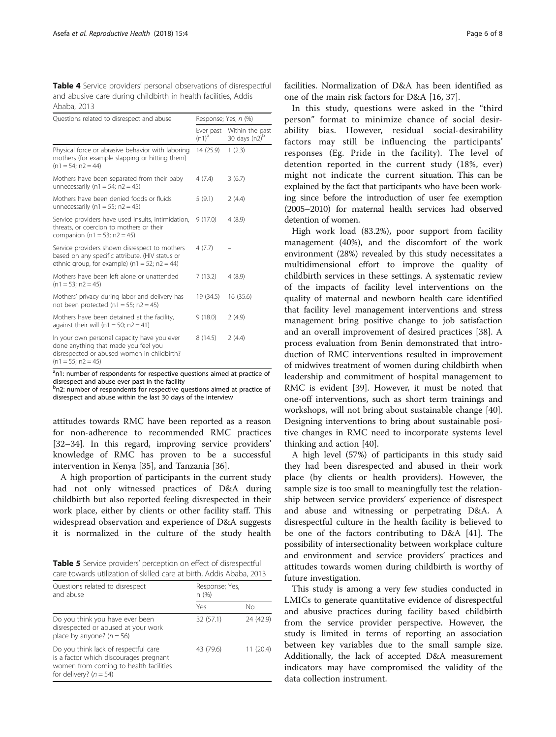<span id="page-5-0"></span>Table 4 Service providers' personal observations of disrespectful and abusive care during childbirth in health facilities, Addis Ababa, 2013

| Questions related to disrespect and abuse                                                                                                                  | Response; Yes, n (%)  |                                     |  |
|------------------------------------------------------------------------------------------------------------------------------------------------------------|-----------------------|-------------------------------------|--|
|                                                                                                                                                            | Ever past<br>$(n1)^a$ | Within the past<br>30 days $(n2)^b$ |  |
| Physical force or abrasive behavior with laboring<br>mothers (for example slapping or hitting them)<br>$(n1 = 54; n2 = 44)$                                | 14 (25.9)             | 1(2.3)                              |  |
| Mothers have been separated from their baby<br>unnecessarily (n1 = 54; n2 = 45)                                                                            | 4(7.4)                | 3(6.7)                              |  |
| Mothers have been denied foods or fluids<br>unnecessarily (n1 = 55; n2 = 45)                                                                               | 5(9.1)                | 2(4.4)                              |  |
| Service providers have used insults, intimidation, 9 (17.0)<br>threats, or coercion to mothers or their<br>companion (n1 = 53; n2 = 45)                    |                       | 4(8.9)                              |  |
| Service providers shown disrespect to mothers<br>based on any specific attribute. (HIV status or<br>ethnic group, for example) ( $n1 = 52$ ; $n2 = 44$ )   | 4(7.7)                |                                     |  |
| Mothers have been left alone or unattended<br>$(n1 = 53; n2 = 45)$                                                                                         | 7(13.2)               | 4(8.9)                              |  |
| Mothers' privacy during labor and delivery has<br>not been protected ( $n1 = 55$ ; $n2 = 45$ )                                                             | 19 (34.5)             | 16 (35.6)                           |  |
| Mothers have been detained at the facility,<br>against their will (n1 = 50; n2 = 41)                                                                       | 9(18.0)               | 2(4.9)                              |  |
| In your own personal capacity have you ever<br>done anything that made you feel you<br>disrespected or abused women in childbirth?<br>$(n1 = 55; n2 = 45)$ | 8(14.5)               | 2(4.4)                              |  |

<sup>a</sup>n1: number of respondents for respective questions aimed at practice of disrespect and abuse ever past in the facility

<sup>b</sup>n2: number of respondents for respective questions aimed at practice of disrespect and abuse within the last 30 days of the interview

attitudes towards RMC have been reported as a reason for non-adherence to recommended RMC practices [[32](#page-7-0)–[34](#page-7-0)]. In this regard, improving service providers' knowledge of RMC has proven to be a successful intervention in Kenya [[35\]](#page-7-0), and Tanzania [[36](#page-7-0)].

A high proportion of participants in the current study had not only witnessed practices of D&A during childbirth but also reported feeling disrespected in their work place, either by clients or other facility staff. This widespread observation and experience of D&A suggests it is normalized in the culture of the study health

Table 5 Service providers' perception on effect of disrespectful care towards utilization of skilled care at birth, Addis Ababa, 2013

| Questions related to disrespect<br>and abuse                                                                                                           | Response; Yes,<br>n(%) |           |  |
|--------------------------------------------------------------------------------------------------------------------------------------------------------|------------------------|-----------|--|
|                                                                                                                                                        | Yes                    | Nο        |  |
| Do you think you have ever been<br>disrespected or abused at your work<br>place by anyone? $(n = 56)$                                                  | 32 (57.1)              | 24 (42.9) |  |
| Do you think lack of respectful care<br>is a factor which discourages pregnant<br>women from coming to health facilities<br>for delivery? ( $n = 54$ ) | 43 (79.6)              | 11 (20.4) |  |

facilities. Normalization of D&A has been identified as one of the main risk factors for D&A [\[16,](#page-6-0) [37\]](#page-7-0).

In this study, questions were asked in the "third person" format to minimize chance of social desirability bias. However, residual social-desirability factors may still be influencing the participants' responses (Eg. Pride in the facility). The level of detention reported in the current study (18%, ever) might not indicate the current situation. This can be explained by the fact that participants who have been working since before the introduction of user fee exemption (2005–2010) for maternal health services had observed detention of women.

High work load (83.2%), poor support from facility management (40%), and the discomfort of the work environment (28%) revealed by this study necessitates a multidimensional effort to improve the quality of childbirth services in these settings. A systematic review of the impacts of facility level interventions on the quality of maternal and newborn health care identified that facility level management interventions and stress management bring positive change to job satisfaction and an overall improvement of desired practices [[38\]](#page-7-0). A process evaluation from Benin demonstrated that introduction of RMC interventions resulted in improvement of midwives treatment of women during childbirth when leadership and commitment of hospital management to RMC is evident [[39\]](#page-7-0). However, it must be noted that one-off interventions, such as short term trainings and workshops, will not bring about sustainable change [\[40](#page-7-0)]. Designing interventions to bring about sustainable positive changes in RMC need to incorporate systems level thinking and action [[40\]](#page-7-0).

A high level (57%) of participants in this study said they had been disrespected and abused in their work place (by clients or health providers). However, the sample size is too small to meaningfully test the relationship between service providers' experience of disrespect and abuse and witnessing or perpetrating D&A. A disrespectful culture in the health facility is believed to be one of the factors contributing to D&A [\[41\]](#page-7-0). The possibility of intersectionality between workplace culture and environment and service providers' practices and attitudes towards women during childbirth is worthy of future investigation.

This study is among a very few studies conducted in LMICs to generate quantitative evidence of disrespectful and abusive practices during facility based childbirth from the service provider perspective. However, the study is limited in terms of reporting an association between key variables due to the small sample size. Additionally, the lack of accepted D&A measurement indicators may have compromised the validity of the data collection instrument.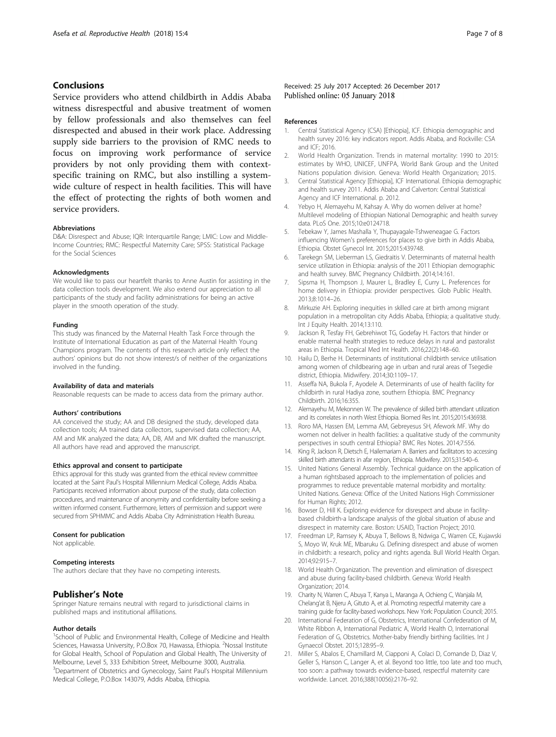# <span id="page-6-0"></span>**Conclusions**

Service providers who attend childbirth in Addis Ababa witness disrespectful and abusive treatment of women by fellow professionals and also themselves can feel disrespected and abused in their work place. Addressing supply side barriers to the provision of RMC needs to focus on improving work performance of service providers by not only providing them with contextspecific training on RMC, but also instilling a systemwide culture of respect in health facilities. This will have the effect of protecting the rights of both women and service providers.

#### Abbreviations

D&A: Disrespect and Abuse; IQR: Interquartile Range; LMIC: Low and Middle-Income Countries; RMC: Respectful Maternity Care; SPSS: Statistical Package for the Social Sciences

#### **Acknowledaments**

We would like to pass our heartfelt thanks to Anne Austin for assisting in the data collection tools development. We also extend our appreciation to all participants of the study and facility administrations for being an active player in the smooth operation of the study.

#### Funding

This study was financed by the Maternal Health Task Force through the Institute of International Education as part of the Maternal Health Young Champions program. The contents of this research article only reflect the authors' opinions but do not show interest/s of neither of the organizations involved in the funding.

#### Availability of data and materials

Reasonable requests can be made to access data from the primary author.

#### Authors' contributions

AA conceived the study; AA and DB designed the study, developed data collection tools; AA trained data collectors, supervised data collection; AA, AM and MK analyzed the data; AA, DB, AM and MK drafted the manuscript. All authors have read and approved the manuscript.

#### Ethics approval and consent to participate

Ethics approval for this study was granted from the ethical review committee located at the Saint Paul's Hospital Millennium Medical College, Addis Ababa. Participants received information about purpose of the study, data collection procedures, and maintenance of anonymity and confidentiality before seeking a written informed consent. Furthermore, letters of permission and support were secured from SPHMMC and Addis Ababa City Administration Health Bureau.

#### Consent for publication

Not applicable.

#### Competing interests

The authors declare that they have no competing interests.

#### Publisher's Note

Springer Nature remains neutral with regard to jurisdictional claims in published maps and institutional affiliations.

#### Author details

<sup>1</sup>School of Public and Environmental Health, College of Medicine and Health Sciences, Hawassa University, P.O.Box 70, Hawassa, Ethiopia. <sup>2</sup>Nossal Institute for Global Health, School of Population and Global Health, The University of Melbourne, Level 5, 333 Exhibition Street, Melbourne 3000, Australia. <sup>3</sup>Department of Obstetrics and Gynecology, Saint Paul's Hospital Millennium Medical College, P.O.Box 143079, Addis Ababa, Ethiopia.

#### References

- 1. Central Statistical Agency (CSA) [Ethiopia], ICF. Ethiopia demographic and health survey 2016: key indicators report. Addis Ababa, and Rockville: CSA and ICF; 2016.
- 2. World Health Organization. Trends in maternal mortality: 1990 to 2015: estimates by WHO, UNICEF, UNFPA, World Bank Group and the United Nations population division. Geneva: World Health Organization; 2015.
- 3. Central Statistical Agency [Ethiopia], ICF International. Ethiopia demographic and health survey 2011. Addis Ababa and Calverton: Central Statistical Agency and ICF International. p. 2012.
- 4. Yebyo H, Alemayehu M, Kahsay A. Why do women deliver at home? Multilevel modeling of Ethiopian National Demographic and health survey data. PLoS One. 2015;10:e0124718.
- 5. Tebekaw Y, James Mashalla Y, Thupayagale-Tshweneagae G. Factors influencing Women's preferences for places to give birth in Addis Ababa, Ethiopia. Obstet Gynecol Int. 2015;2015:439748.
- 6. Tarekegn SM, Lieberman LS, Giedraitis V. Determinants of maternal health service utilization in Ethiopia: analysis of the 2011 Ethiopian demographic and health survey. BMC Pregnancy Childbirth. 2014;14:161.
- 7. Sipsma H, Thompson J, Maurer L, Bradley E, Curry L. Preferences for home delivery in Ethiopia: provider perspectives. Glob Public Health. 2013;8:1014–26.
- 8. Mirkuzie AH. Exploring inequities in skilled care at birth among migrant population in a metropolitan city Addis Ababa, Ethiopia; a qualitative study. Int J Equity Health. 2014;13:110.
- 9. Jackson R, Tesfay FH, Gebrehiwot TG, Godefay H. Factors that hinder or enable maternal health strategies to reduce delays in rural and pastoralist areas in Ethiopia. Tropical Med Int Health. 2016;22(2):148–60.
- 10. Hailu D, Berhe H. Determinants of institutional childbirth service utilisation among women of childbearing age in urban and rural areas of Tsegedie district, Ethiopia. Midwifery. 2014;30:1109–17.
- 11. Asseffa NA, Bukola F, Ayodele A. Determinants of use of health facility for childbirth in rural Hadiya zone, southern Ethiopia. BMC Pregnancy Childbirth. 2016;16:355.
- 12. Alemayehu M, Mekonnen W. The prevalence of skilled birth attendant utilization and its correlates in north West Ethiopia. Biomed Res Int. 2015;2015:436938.
- 13. Roro MA, Hassen EM, Lemma AM, Gebreyesus SH, Afework MF. Why do women not deliver in health facilities: a qualitative study of the community perspectives in south central Ethiopia? BMC Res Notes. 2014;7:556.
- 14. King R, Jackson R, Dietsch E, Hailemariam A. Barriers and facilitators to accessing skilled birth attendants in afar region, Ethiopia. Midwifery. 2015;31:540–6.
- 15. United Nations General Assembly. Technical guidance on the application of a human rightsbased approach to the implementation of policies and programmes to reduce preventable maternal morbidity and mortality: United Nations. Geneva: Office of the United Nations High Commissioner for Human Rights; 2012.
- 16. Bowser D, Hill K. Exploring evidence for disrespect and abuse in facilitybased childbirth-a landscape analysis of the global situation of abuse and disrespect in maternity care. Boston: USAID, Traction Project; 2010.
- 17. Freedman LP, Ramsey K, Abuya T, Bellows B, Ndwiga C, Warren CE, Kujawski S, Moyo W, Kruk ME, Mbaruku G. Defining disrespect and abuse of women in childbirth: a research, policy and rights agenda. Bull World Health Organ. 2014;92:915–7.
- 18. World Health Organization. The prevention and elimination of disrespect and abuse during facility-based childbirth. Geneva: World Health Organization; 2014.
- 19. Charity N, Warren C, Abuya T, Kanya L, Maranga A, Ochieng C, Wanjala M, Chelang'at B, Njeru A, Gituto A, et al. Promoting respectful maternity care a training guide for facility-based workshops. New York: Population Council; 2015.
- 20. International Federation of G, Obstetrics, International Confederation of M, White Ribbon A, International Pediatric A, World Health O, International Federation of G, Obstetrics. Mother-baby friendly birthing facilities. Int J Gynaecol Obstet. 2015;128:95–9.
- 21. Miller S, Abalos E, Chamillard M, Ciapponi A, Colaci D, Comande D, Diaz V, Geller S, Hanson C, Langer A, et al. Beyond too little, too late and too much, too soon: a pathway towards evidence-based, respectful maternity care worldwide. Lancet. 2016;388(10056):2176–92.